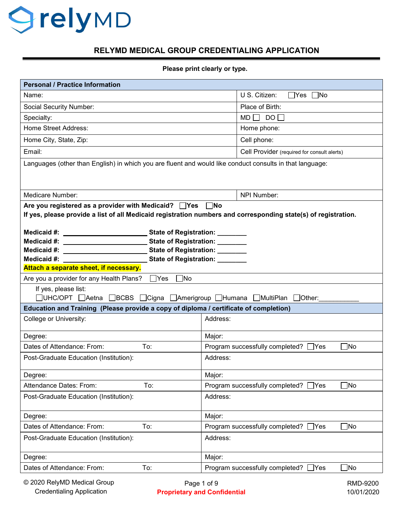## *<u>OrelyMD</u>*

## **RELYMD MEDICAL GROUP CREDENTIALING APPLICATION**

**Please print clearly or type.** 

| <b>Personal / Practice Information</b>                                                                                      |                                |                                                    |
|-----------------------------------------------------------------------------------------------------------------------------|--------------------------------|----------------------------------------------------|
| Name:                                                                                                                       |                                | U S. Citizen:<br>$\Box$ Yes $\Box$ No              |
| Social Security Number:                                                                                                     |                                | Place of Birth:                                    |
| Specialty:                                                                                                                  |                                | $MD \Box DO \Box$                                  |
| <b>Home Street Address:</b>                                                                                                 |                                | Home phone:                                        |
| Home City, State, Zip:                                                                                                      |                                | Cell phone:                                        |
| Email:                                                                                                                      |                                | Cell Provider (required for consult alerts)        |
| Languages (other than English) in which you are fluent and would like conduct consults in that language:                    |                                |                                                    |
|                                                                                                                             |                                |                                                    |
| Medicare Number:                                                                                                            |                                | NPI Number:                                        |
| Are you registered as a provider with Medicaid? $\Box$ Yes                                                                  |                                |                                                    |
| $\Box$ No<br>If yes, please provide a list of all Medicaid registration numbers and corresponding state(s) of registration. |                                |                                                    |
|                                                                                                                             |                                |                                                    |
|                                                                                                                             | State of Registration: _______ |                                                    |
| Medicaid #:<br><u> 1990 - Johann Barbara, martin a</u>                                                                      | State of Registration: _______ |                                                    |
| Medicaid #:                                                                                                                 |                                |                                                    |
| State of Registration: _______<br>Medicaid #:                                                                               |                                |                                                    |
| Attach a separate sheet, if necessary.                                                                                      |                                |                                                    |
| Are you a provider for any Health Plans?<br>$\Box$ No<br>$\Box$ Yes                                                         |                                |                                                    |
| If yes, please list:<br>□UHC/OPT □Aetna □BCBS □Cigna □Amerigroup □Humana □MultiPlan □Other: ____                            |                                |                                                    |
| Education and Training (Please provide a copy of diploma / certificate of completion)                                       |                                |                                                    |
| College or University:                                                                                                      | Address:                       |                                                    |
|                                                                                                                             |                                |                                                    |
| Degree:                                                                                                                     | Major:                         |                                                    |
| Dates of Attendance: From:<br>To:                                                                                           |                                | Program successfully completed? □ Yes<br>∃No       |
| Post-Graduate Education (Institution):                                                                                      | Address:                       |                                                    |
| Degree:                                                                                                                     | Major:                         |                                                    |
| Attendance Dates: From:<br>To:                                                                                              |                                | $\Box$ No<br>Program successfully completed? □Yes  |
| Post-Graduate Education (Institution):                                                                                      | Address:                       |                                                    |
| Degree:                                                                                                                     | Major:                         |                                                    |
| Dates of Attendance: From:<br>To:                                                                                           |                                | $\Box$ No<br>Program successfully completed? □ Yes |
| Post-Graduate Education (Institution):                                                                                      | Address:                       |                                                    |
|                                                                                                                             |                                |                                                    |
| Degree:                                                                                                                     | Major:                         |                                                    |
| Dates of Attendance: From:<br>To:                                                                                           |                                | Program successfully completed? □Yes<br>$\Box$ No  |